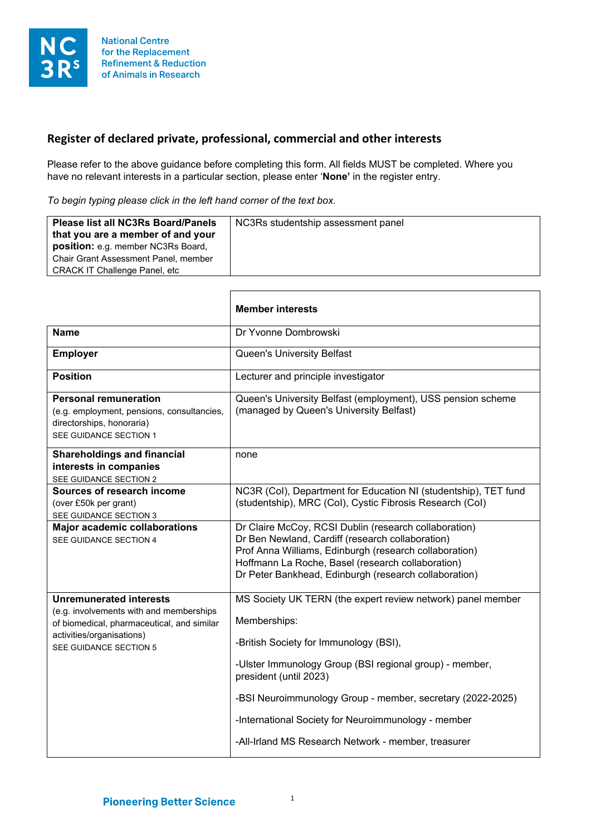

## **Register of declared private, professional, commercial and other interests**

Please refer to the above guidance before completing this form. All fields MUST be completed. Where you have no relevant interests in a particular section, please enter '**None'** in the register entry.

*To begin typing please click in the left hand corner of the text box.*

| <b>Please list all NC3Rs Board/Panels</b><br>that you are a member of and your<br>position: e.g. member NC3Rs Board,<br>Chair Grant Assessment Panel, member<br><b>CRACK IT Challenge Panel, etc</b> | NC3Rs studentship assessment panel |
|------------------------------------------------------------------------------------------------------------------------------------------------------------------------------------------------------|------------------------------------|
|------------------------------------------------------------------------------------------------------------------------------------------------------------------------------------------------------|------------------------------------|

|                                                                                                                                                                                | <b>Member interests</b>                                                                                                                                                                                                                                                                                                                                                                |
|--------------------------------------------------------------------------------------------------------------------------------------------------------------------------------|----------------------------------------------------------------------------------------------------------------------------------------------------------------------------------------------------------------------------------------------------------------------------------------------------------------------------------------------------------------------------------------|
| <b>Name</b>                                                                                                                                                                    | Dr Yvonne Dombrowski                                                                                                                                                                                                                                                                                                                                                                   |
| <b>Employer</b>                                                                                                                                                                | <b>Queen's University Belfast</b>                                                                                                                                                                                                                                                                                                                                                      |
| Position                                                                                                                                                                       | Lecturer and principle investigator                                                                                                                                                                                                                                                                                                                                                    |
| <b>Personal remuneration</b><br>(e.g. employment, pensions, consultancies,<br>directorships, honoraria)<br>SEE GUIDANCE SECTION 1                                              | Queen's University Belfast (employment), USS pension scheme<br>(managed by Queen's University Belfast)                                                                                                                                                                                                                                                                                 |
| <b>Shareholdings and financial</b><br>interests in companies<br>SEE GUIDANCE SECTION 2                                                                                         | none                                                                                                                                                                                                                                                                                                                                                                                   |
| Sources of research income<br>(over £50k per grant)<br>SEE GUIDANCE SECTION 3                                                                                                  | NC3R (Col), Department for Education NI (studentship), TET fund<br>(studentship), MRC (Col), Cystic Fibrosis Research (Col)                                                                                                                                                                                                                                                            |
| <b>Major academic collaborations</b><br>SEE GUIDANCE SECTION 4                                                                                                                 | Dr Claire McCoy, RCSI Dublin (research collaboration)<br>Dr Ben Newland, Cardiff (research collaboration)<br>Prof Anna Williams, Edinburgh (research collaboration)<br>Hoffmann La Roche, Basel (research collaboration)<br>Dr Peter Bankhead, Edinburgh (research collaboration)                                                                                                      |
| <b>Unremunerated interests</b><br>(e.g. involvements with and memberships<br>of biomedical, pharmaceutical, and similar<br>activities/organisations)<br>SEE GUIDANCE SECTION 5 | MS Society UK TERN (the expert review network) panel member<br>Memberships:<br>-British Society for Immunology (BSI),<br>-Ulster Immunology Group (BSI regional group) - member,<br>president (until 2023)<br>-BSI Neuroimmunology Group - member, secretary (2022-2025)<br>-International Society for Neuroimmunology - member<br>-All-Irland MS Research Network - member, treasurer |